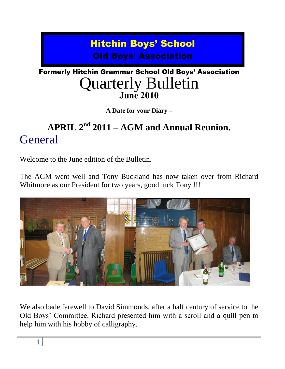### Hitchin Boys' School Old Boys' Association

### Formerly Hitchin Grammar School Old Boys' Association Quarterly Bulletin **June 2010**

**A Date for your Diary –**

### **APRIL 2nd 2011 – AGM and Annual Reunion. General**

Welcome to the June edition of the Bulletin.

The AGM went well and Tony Buckland has now taken over from Richard Whitmore as our President for two years, good luck Tony !!!



We also bade farewell to David Simmonds, after a half century of service to the Old Boys' Committee. Richard presented him with a scroll and a quill pen to help him with his hobby of calligraphy.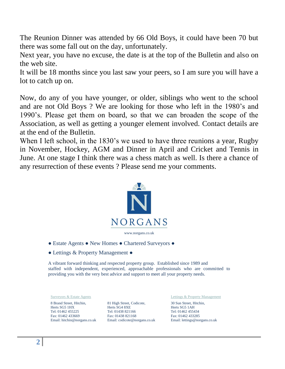The Reunion Dinner was attended by 66 Old Boys, it could have been 70 but there was some fall out on the day, unfortunately.

Next year, you have no excuse, the date is at the top of the Bulletin and also on the web site.

It will be 18 months since you last saw your peers, so I am sure you will have a lot to catch up on.

Now, do any of you have younger, or older, siblings who went to the school and are not Old Boys ? We are looking for those who left in the 1980's and 1990's. Please get them on board, so that we can broaden the scope of the Association, as well as getting a younger element involved. Contact details are at the end of the Bulletin.

When I left school, in the 1830's we used to have three reunions a year, Rugby in November, Hockey, AGM and Dinner in April and Cricket and Tennis in June. At one stage I think there was a chess match as well. Is there a chance of any resurrection of these events ? Please send me your comments.



- Estate Agents New Homes Chartered Surveyors ●
- Lettings & Property Management ●

A vibrant forward thinking and respected property group. Established since 1989 and staffed with independent, experienced, approachable professionals who are committed to providing you with the very best advice and support to meet all your property needs.

8 Brand Street, Hitchin, Herts SG5 1HX Tel: 01462 455225 Fax: 01462 433669 Email: hitchin@norgans.co.uk

81 High Street, Codicote, Herts SG4 8XE Tel: 01438 821166 Fax: 01438 821168 Email: codicote@norgans.co.uk

Surveyors & Estate Agents **Lettings & Property Management** 

30 Sun Street, Hitchin, Herts SG5 1AH Tel: 01462 455434 Fax: 01462 433285 Email: lettings@norgans.co.uk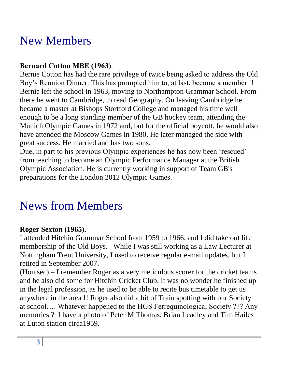## New Members

#### **Bernard Cotton MBE (1963)**

Bernie Cotton has had the rare privilege of twice being asked to address the Old Boy's Reunion Dinner. This has prompted him to, at last, become a member !! Bernie left the school in 1963, moving to Northampton Grammar School. From there he went to Cambridge, to read Geography. On leaving Cambridge he became a master at Bishops Stortford College and managed his time well enough to be a long standing member of the GB hockey team, attending the Munich Olympic Games in 1972 and, but for the official boycott, he would also have attended the Moscow Games in 1980. He later managed the side with great success. He married and has two sons.

Due, in part to his previous Olympic experiences he has now been 'rescued' from teaching to become an Olympic Performance Manager at the British Olympic Association. He is currently working in support of Team GB's preparations for the London 2012 Olympic Games.

## News from Members

#### **Roger Sexton (1965).**

I attended Hitchin Grammar School from 1959 to 1966, and I did take out life membership of the Old Boys. While I was still working as a Law Lecturer at Nottingham Trent University, I used to receive regular e-mail updates, but I retired in September 2007.

(Hon sec) – I remember Roger as a very meticulous scorer for the cricket teams and he also did some for Hitchin Cricket Club. It was no wonder he finished up in the legal profession, as he used to be able to recite bus timetable to get us anywhere in the area !! Roger also did a bit of Train spotting with our Society at school…. Whatever happened to the HGS Ferrequinological Society ??? Any memories ? I have a photo of Peter M Thomas, Brian Leadley and Tim Hailes at Luton station circa1959.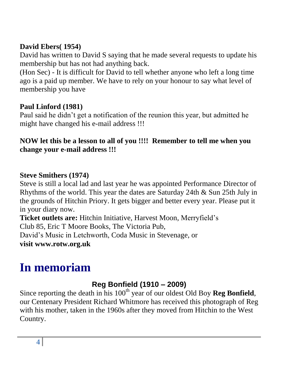#### **David Ebers( 1954)**

David has written to David S saying that he made several requests to update his membership but has not had anything back.

(Hon Sec) - It is difficult for David to tell whether anyone who left a long time ago is a paid up member. We have to rely on your honour to say what level of membership you have

#### **Paul Linford (1981)**

Paul said he didn't get a notification of the reunion this year, but admitted he might have changed his e-mail address !!!

#### **NOW let this be a lesson to all of you !!!! Remember to tell me when you change your e-mail address !!!**

#### **Steve Smithers (1974)**

Steve is still a local lad and last year he was appointed Performance Director of Rhythms of the world. This year the dates are Saturday 24th & Sun 25th July in the grounds of Hitchin Priory. It gets bigger and better every year. Please put it in your diary now.

**Ticket outlets are:** Hitchin Initiative, Harvest Moon, Merryfield's Club 85, Eric T Moore Books, The Victoria Pub, David's Music in Letchworth, Coda Music in Stevenage, or **visit www.rotw.org.uk**

# **In memoriam**

### **Reg Bonfield (1910 – 2009)**

Since reporting the death in his  $100<sup>th</sup>$  year of our oldest Old Boy **Reg Bonfield**, our Centenary President Richard Whitmore has received this photograph of Reg with his mother, taken in the 1960s after they moved from Hitchin to the West Country.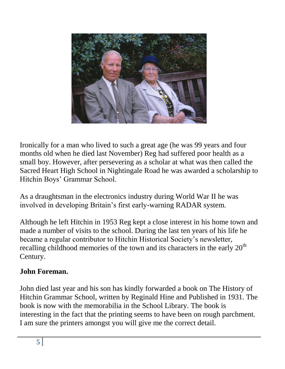

Ironically for a man who lived to such a great age (he was 99 years and four months old when he died last November) Reg had suffered poor health as a small boy. However, after persevering as a scholar at what was then called the Sacred Heart High School in Nightingale Road he was awarded a scholarship to Hitchin Boys' Grammar School.

As a draughtsman in the electronics industry during World War II he was involved in developing Britain's first early-warning RADAR system.

Although he left Hitchin in 1953 Reg kept a close interest in his home town and made a number of visits to the school. During the last ten years of his life he became a regular contributor to Hitchin Historical Society's newsletter, recalling childhood memories of the town and its characters in the early  $20<sup>th</sup>$ Century.

#### **John Foreman.**

John died last year and his son has kindly forwarded a book on The History of Hitchin Grammar School, written by Reginald Hine and Published in 1931. The book is now with the memorabilia in the School Library. The book is interesting in the fact that the printing seems to have been on rough parchment. I am sure the printers amongst you will give me the correct detail.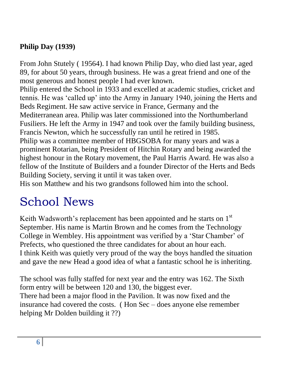#### **Philip Day (1939)**

From John Stutely ( 19564). I had known Philip Day, who died last year, aged 89, for about 50 years, through business. He was a great friend and one of the most generous and honest people I had ever known.

Philip entered the School in 1933 and excelled at academic studies, cricket and tennis. He was 'called up' into the Army in January 1940, joining the Herts and Beds Regiment. He saw active service in France, Germany and the Mediterranean area. Philip was later commissioned into the Northumberland Fusiliers. He left the Army in 1947 and took over the family building business, Francis Newton, which he successfully ran until he retired in 1985. Philip was a committee member of HBGSOBA for many years and was a prominent Rotarian, being President of Hitchin Rotary and being awarded the highest honour in the Rotary movement, the Paul Harris Award. He was also a fellow of the Institute of Builders and a founder Director of the Herts and Beds Building Society, serving it until it was taken over.

His son Matthew and his two grandsons followed him into the school.

## School News

Keith Wadsworth's replacement has been appointed and he starts on 1<sup>st</sup> September. His name is Martin Brown and he comes from the Technology College in Wembley. His appointment was verified by a 'Star Chamber' of Prefects, who questioned the three candidates for about an hour each. I think Keith was quietly very proud of the way the boys handled the situation and gave the new Head a good idea of what a fantastic school he is inheriting.

The school was fully staffed for next year and the entry was 162. The Sixth form entry will be between 120 and 130, the biggest ever. There had been a major flood in the Pavilion. It was now fixed and the insurance had covered the costs. ( Hon Sec – does anyone else remember helping Mr Dolden building it ??)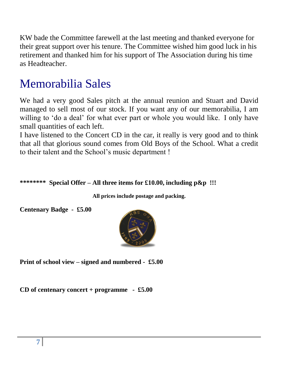KW bade the Committee farewell at the last meeting and thanked everyone for their great support over his tenure. The Committee wished him good luck in his retirement and thanked him for his support of The Association during his time as Headteacher.

## Memorabilia Sales

We had a very good Sales pitch at the annual reunion and Stuart and David managed to sell most of our stock. If you want any of our memorabilia, I am willing to 'do a deal' for what ever part or whole you would like. I only have small quantities of each left.

I have listened to the Concert CD in the car, it really is very good and to think that all that glorious sound comes from Old Boys of the School. What a credit to their talent and the School's music department !

#### **\*\*\*\*\*\*\*\* Special Offer – All three items for £10.00, including p&p !!!**

**All prices include postage and packing.**

**Centenary Badge - £5.00**



**Print of school view – signed and numbered - £5.00**

**CD of centenary concert + programme - £5.00**